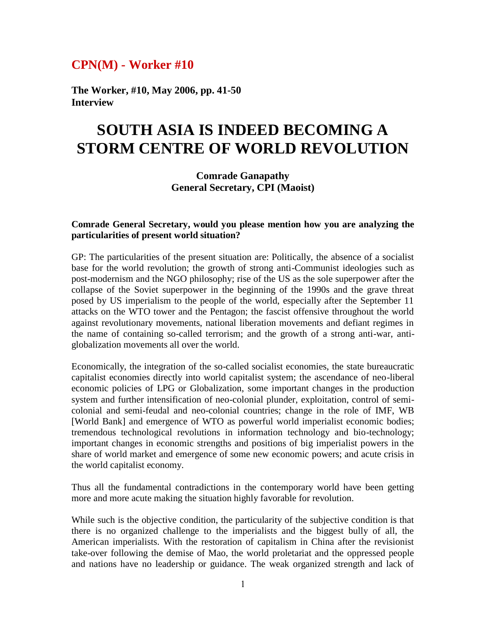## **CPN(M) - Worker #10**

**The Worker, #10, May 2006, pp. 41-50 Interview**

# **SOUTH ASIA IS INDEED BECOMING A STORM CENTRE OF WORLD REVOLUTION**

### **Comrade Ganapathy General Secretary, CPI (Maoist)**

#### **Comrade General Secretary, would you please mention how you are analyzing the particularities of present world situation?**

GP: The particularities of the present situation are: Politically, the absence of a socialist base for the world revolution; the growth of strong anti-Communist ideologies such as post-modernism and the NGO philosophy; rise of the US as the sole superpower after the collapse of the Soviet superpower in the beginning of the 1990s and the grave threat posed by US imperialism to the people of the world, especially after the September 11 attacks on the WTO tower and the Pentagon; the fascist offensive throughout the world against revolutionary movements, national liberation movements and defiant regimes in the name of containing so-called terrorism; and the growth of a strong anti-war, antiglobalization movements all over the world.

Economically, the integration of the so-called socialist economies, the state bureaucratic capitalist economies directly into world capitalist system; the ascendance of neo-liberal economic policies of LPG or Globalization, some important changes in the production system and further intensification of neo-colonial plunder, exploitation, control of semicolonial and semi-feudal and neo-colonial countries; change in the role of IMF, WB [World Bank] and emergence of WTO as powerful world imperialist economic bodies; tremendous technological revolutions in information technology and bio-technology; important changes in economic strengths and positions of big imperialist powers in the share of world market and emergence of some new economic powers; and acute crisis in the world capitalist economy.

Thus all the fundamental contradictions in the contemporary world have been getting more and more acute making the situation highly favorable for revolution.

While such is the objective condition, the particularity of the subjective condition is that there is no organized challenge to the imperialists and the biggest bully of all, the American imperialists. With the restoration of capitalism in China after the revisionist take-over following the demise of Mao, the world proletariat and the oppressed people and nations have no leadership or guidance. The weak organized strength and lack of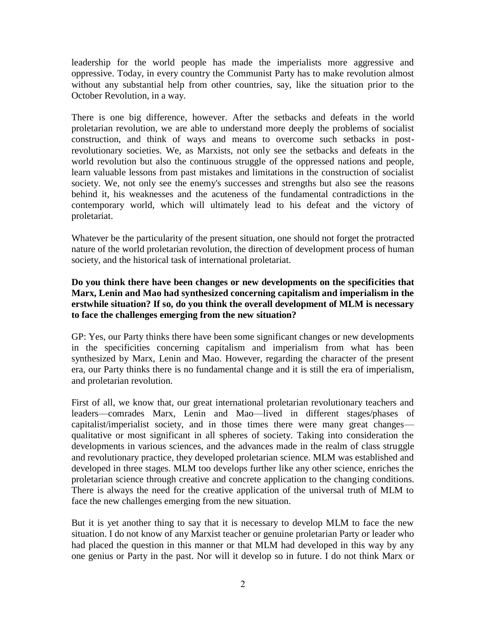leadership for the world people has made the imperialists more aggressive and oppressive. Today, in every country the Communist Party has to make revolution almost without any substantial help from other countries, say, like the situation prior to the October Revolution, in a way.

There is one big difference, however. After the setbacks and defeats in the world proletarian revolution, we are able to understand more deeply the problems of socialist construction, and think of ways and means to overcome such setbacks in postrevolutionary societies. We, as Marxists, not only see the setbacks and defeats in the world revolution but also the continuous struggle of the oppressed nations and people, learn valuable lessons from past mistakes and limitations in the construction of socialist society. We, not only see the enemy's successes and strengths but also see the reasons behind it, his weaknesses and the acuteness of the fundamental contradictions in the contemporary world, which will ultimately lead to his defeat and the victory of proletariat.

Whatever be the particularity of the present situation, one should not forget the protracted nature of the world proletarian revolution, the direction of development process of human society, and the historical task of international proletariat.

#### **Do you think there have been changes or new developments on the specificities that Marx, Lenin and Mao had synthesized concerning capitalism and imperialism in the erstwhile situation? If so, do you think the overall development of MLM is necessary to face the challenges emerging from the new situation?**

GP: Yes, our Party thinks there have been some significant changes or new developments in the specificities concerning capitalism and imperialism from what has been synthesized by Marx, Lenin and Mao. However, regarding the character of the present era, our Party thinks there is no fundamental change and it is still the era of imperialism, and proletarian revolution.

First of all, we know that, our great international proletarian revolutionary teachers and leaders—comrades Marx, Lenin and Mao—lived in different stages/phases of capitalist/imperialist society, and in those times there were many great changes qualitative or most significant in all spheres of society. Taking into consideration the developments in various sciences, and the advances made in the realm of class struggle and revolutionary practice, they developed proletarian science. MLM was established and developed in three stages. MLM too develops further like any other science, enriches the proletarian science through creative and concrete application to the changing conditions. There is always the need for the creative application of the universal truth of MLM to face the new challenges emerging from the new situation.

But it is yet another thing to say that it is necessary to develop MLM to face the new situation. I do not know of any Marxist teacher or genuine proletarian Party or leader who had placed the question in this manner or that MLM had developed in this way by any one genius or Party in the past. Nor will it develop so in future. I do not think Marx or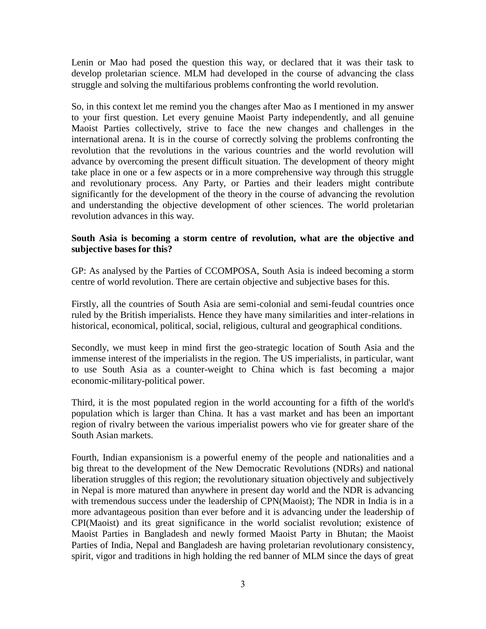Lenin or Mao had posed the question this way, or declared that it was their task to develop proletarian science. MLM had developed in the course of advancing the class struggle and solving the multifarious problems confronting the world revolution.

So, in this context let me remind you the changes after Mao as I mentioned in my answer to your first question. Let every genuine Maoist Party independently, and all genuine Maoist Parties collectively, strive to face the new changes and challenges in the international arena. It is in the course of correctly solving the problems confronting the revolution that the revolutions in the various countries and the world revolution will advance by overcoming the present difficult situation. The development of theory might take place in one or a few aspects or in a more comprehensive way through this struggle and revolutionary process. Any Party, or Parties and their leaders might contribute significantly for the development of the theory in the course of advancing the revolution and understanding the objective development of other sciences. The world proletarian revolution advances in this way.

#### **South Asia is becoming a storm centre of revolution, what are the objective and subjective bases for this?**

GP: As analysed by the Parties of CCOMPOSA, South Asia is indeed becoming a storm centre of world revolution. There are certain objective and subjective bases for this.

Firstly, all the countries of South Asia are semi-colonial and semi-feudal countries once ruled by the British imperialists. Hence they have many similarities and inter-relations in historical, economical, political, social, religious, cultural and geographical conditions.

Secondly, we must keep in mind first the geo-strategic location of South Asia and the immense interest of the imperialists in the region. The US imperialists, in particular, want to use South Asia as a counter-weight to China which is fast becoming a major economic-military-political power.

Third, it is the most populated region in the world accounting for a fifth of the world's population which is larger than China. It has a vast market and has been an important region of rivalry between the various imperialist powers who vie for greater share of the South Asian markets.

Fourth, Indian expansionism is a powerful enemy of the people and nationalities and a big threat to the development of the New Democratic Revolutions (NDRs) and national liberation struggles of this region; the revolutionary situation objectively and subjectively in Nepal is more matured than anywhere in present day world and the NDR is advancing with tremendous success under the leadership of CPN(Maoist); The NDR in India is in a more advantageous position than ever before and it is advancing under the leadership of CPI(Maoist) and its great significance in the world socialist revolution; existence of Maoist Parties in Bangladesh and newly formed Maoist Party in Bhutan; the Maoist Parties of India, Nepal and Bangladesh are having proletarian revolutionary consistency, spirit, vigor and traditions in high holding the red banner of MLM since the days of great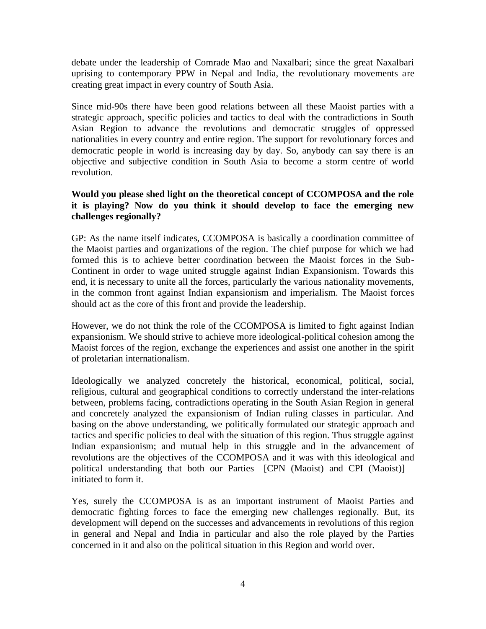debate under the leadership of Comrade Mao and Naxalbari; since the great Naxalbari uprising to contemporary PPW in Nepal and India, the revolutionary movements are creating great impact in every country of South Asia.

Since mid-90s there have been good relations between all these Maoist parties with a strategic approach, specific policies and tactics to deal with the contradictions in South Asian Region to advance the revolutions and democratic struggles of oppressed nationalities in every country and entire region. The support for revolutionary forces and democratic people in world is increasing day by day. So, anybody can say there is an objective and subjective condition in South Asia to become a storm centre of world revolution.

#### **Would you please shed light on the theoretical concept of CCOMPOSA and the role it is playing? Now do you think it should develop to face the emerging new challenges regionally?**

GP: As the name itself indicates, CCOMPOSA is basically a coordination committee of the Maoist parties and organizations of the region. The chief purpose for which we had formed this is to achieve better coordination between the Maoist forces in the Sub-Continent in order to wage united struggle against Indian Expansionism. Towards this end, it is necessary to unite all the forces, particularly the various nationality movements, in the common front against Indian expansionism and imperialism. The Maoist forces should act as the core of this front and provide the leadership.

However, we do not think the role of the CCOMPOSA is limited to fight against Indian expansionism. We should strive to achieve more ideological-political cohesion among the Maoist forces of the region, exchange the experiences and assist one another in the spirit of proletarian internationalism.

Ideologically we analyzed concretely the historical, economical, political, social, religious, cultural and geographical conditions to correctly understand the inter-relations between, problems facing, contradictions operating in the South Asian Region in general and concretely analyzed the expansionism of Indian ruling classes in particular. And basing on the above understanding, we politically formulated our strategic approach and tactics and specific policies to deal with the situation of this region. Thus struggle against Indian expansionism; and mutual help in this struggle and in the advancement of revolutions are the objectives of the CCOMPOSA and it was with this ideological and political understanding that both our Parties—[CPN (Maoist) and CPI (Maoist)] initiated to form it.

Yes, surely the CCOMPOSA is as an important instrument of Maoist Parties and democratic fighting forces to face the emerging new challenges regionally. But, its development will depend on the successes and advancements in revolutions of this region in general and Nepal and India in particular and also the role played by the Parties concerned in it and also on the political situation in this Region and world over.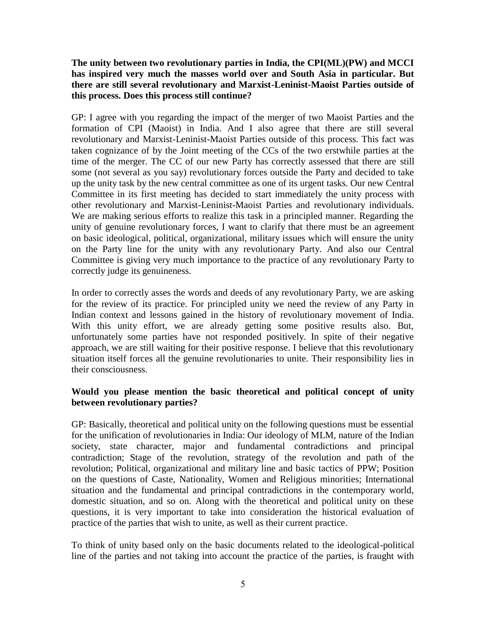**The unity between two revolutionary parties in India, the CPI(ML)(PW) and MCCI has inspired very much the masses world over and South Asia in particular. But there are still several revolutionary and Marxist-Leninist-Maoist Parties outside of this process. Does this process still continue?** 

GP: I agree with you regarding the impact of the merger of two Maoist Parties and the formation of CPI (Maoist) in India. And I also agree that there are still several revolutionary and Marxist-Leninist-Maoist Parties outside of this process. This fact was taken cognizance of by the Joint meeting of the CCs of the two erstwhile parties at the time of the merger. The CC of our new Party has correctly assessed that there are still some (not several as you say) revolutionary forces outside the Party and decided to take up the unity task by the new central committee as one of its urgent tasks. Our new Central Committee in its first meeting has decided to start immediately the unity process with other revolutionary and Marxist-Leninist-Maoist Parties and revolutionary individuals. We are making serious efforts to realize this task in a principled manner. Regarding the unity of genuine revolutionary forces, I want to clarify that there must be an agreement on basic ideological, political, organizational, military issues which will ensure the unity on the Party line for the unity with any revolutionary Party. And also our Central Committee is giving very much importance to the practice of any revolutionary Party to correctly judge its genuineness.

In order to correctly asses the words and deeds of any revolutionary Party, we are asking for the review of its practice. For principled unity we need the review of any Party in Indian context and lessons gained in the history of revolutionary movement of India. With this unity effort, we are already getting some positive results also. But, unfortunately some parties have not responded positively. In spite of their negative approach, we are still waiting for their positive response. I believe that this revolutionary situation itself forces all the genuine revolutionaries to unite. Their responsibility lies in their consciousness.

#### **Would you please mention the basic theoretical and political concept of unity between revolutionary parties?**

GP: Basically, theoretical and political unity on the following questions must be essential for the unification of revolutionaries in India: Our ideology of MLM, nature of the Indian society, state character, major and fundamental contradictions and principal contradiction; Stage of the revolution, strategy of the revolution and path of the revolution; Political, organizational and military line and basic tactics of PPW; Position on the questions of Caste, Nationality, Women and Religious minorities; International situation and the fundamental and principal contradictions in the contemporary world, domestic situation, and so on. Along with the theoretical and political unity on these questions, it is very important to take into consideration the historical evaluation of practice of the parties that wish to unite, as well as their current practice.

To think of unity based only on the basic documents related to the ideological-political line of the parties and not taking into account the practice of the parties, is fraught with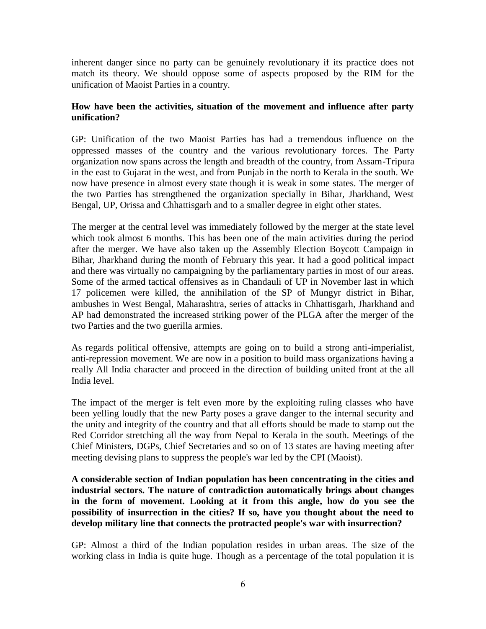inherent danger since no party can be genuinely revolutionary if its practice does not match its theory. We should oppose some of aspects proposed by the RIM for the unification of Maoist Parties in a country.

#### **How have been the activities, situation of the movement and influence after party unification?**

GP: Unification of the two Maoist Parties has had a tremendous influence on the oppressed masses of the country and the various revolutionary forces. The Party organization now spans across the length and breadth of the country, from Assam-Tripura in the east to Gujarat in the west, and from Punjab in the north to Kerala in the south. We now have presence in almost every state though it is weak in some states. The merger of the two Parties has strengthened the organization specially in Bihar, Jharkhand, West Bengal, UP, Orissa and Chhattisgarh and to a smaller degree in eight other states.

The merger at the central level was immediately followed by the merger at the state level which took almost 6 months. This has been one of the main activities during the period after the merger. We have also taken up the Assembly Election Boycott Campaign in Bihar, Jharkhand during the month of February this year. It had a good political impact and there was virtually no campaigning by the parliamentary parties in most of our areas. Some of the armed tactical offensives as in Chandauli of UP in November last in which 17 policemen were killed, the annihilation of the SP of Mungyr district in Bihar, ambushes in West Bengal, Maharashtra, series of attacks in Chhattisgarh, Jharkhand and AP had demonstrated the increased striking power of the PLGA after the merger of the two Parties and the two guerilla armies.

As regards political offensive, attempts are going on to build a strong anti-imperialist, anti-repression movement. We are now in a position to build mass organizations having a really All India character and proceed in the direction of building united front at the all India level.

The impact of the merger is felt even more by the exploiting ruling classes who have been yelling loudly that the new Party poses a grave danger to the internal security and the unity and integrity of the country and that all efforts should be made to stamp out the Red Corridor stretching all the way from Nepal to Kerala in the south. Meetings of the Chief Ministers, DGPs, Chief Secretaries and so on of 13 states are having meeting after meeting devising plans to suppress the people's war led by the CPI (Maoist).

**A considerable section of Indian population has been concentrating in the cities and industrial sectors. The nature of contradiction automatically brings about changes in the form of movement. Looking at it from this angle, how do you see the possibility of insurrection in the cities? If so, have you thought about the need to develop military line that connects the protracted people's war with insurrection?** 

GP: Almost a third of the Indian population resides in urban areas. The size of the working class in India is quite huge. Though as a percentage of the total population it is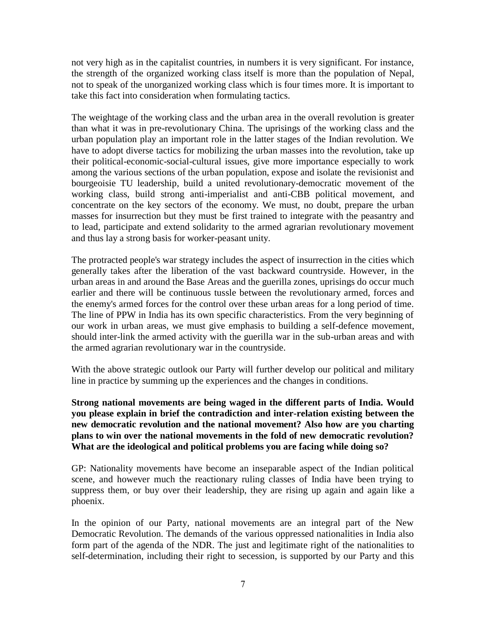not very high as in the capitalist countries, in numbers it is very significant. For instance, the strength of the organized working class itself is more than the population of Nepal, not to speak of the unorganized working class which is four times more. It is important to take this fact into consideration when formulating tactics.

The weightage of the working class and the urban area in the overall revolution is greater than what it was in pre-revolutionary China. The uprisings of the working class and the urban population play an important role in the latter stages of the Indian revolution. We have to adopt diverse tactics for mobilizing the urban masses into the revolution, take up their political-economic-social-cultural issues, give more importance especially to work among the various sections of the urban population, expose and isolate the revisionist and bourgeoisie TU leadership, build a united revolutionary-democratic movement of the working class, build strong anti-imperialist and anti-CBB political movement, and concentrate on the key sectors of the economy. We must, no doubt, prepare the urban masses for insurrection but they must be first trained to integrate with the peasantry and to lead, participate and extend solidarity to the armed agrarian revolutionary movement and thus lay a strong basis for worker-peasant unity.

The protracted people's war strategy includes the aspect of insurrection in the cities which generally takes after the liberation of the vast backward countryside. However, in the urban areas in and around the Base Areas and the guerilla zones, uprisings do occur much earlier and there will be continuous tussle between the revolutionary armed, forces and the enemy's armed forces for the control over these urban areas for a long period of time. The line of PPW in India has its own specific characteristics. From the very beginning of our work in urban areas, we must give emphasis to building a self-defence movement, should inter-link the armed activity with the guerilla war in the sub-urban areas and with the armed agrarian revolutionary war in the countryside.

With the above strategic outlook our Party will further develop our political and military line in practice by summing up the experiences and the changes in conditions.

#### **Strong national movements are being waged in the different parts of India. Would you please explain in brief the contradiction and inter-relation existing between the new democratic revolution and the national movement? Also how are you charting plans to win over the national movements in the fold of new democratic revolution? What are the ideological and political problems you are facing while doing so?**

GP: Nationality movements have become an inseparable aspect of the Indian political scene, and however much the reactionary ruling classes of India have been trying to suppress them, or buy over their leadership, they are rising up again and again like a phoenix.

In the opinion of our Party, national movements are an integral part of the New Democratic Revolution. The demands of the various oppressed nationalities in India also form part of the agenda of the NDR. The just and legitimate right of the nationalities to self-determination, including their right to secession, is supported by our Party and this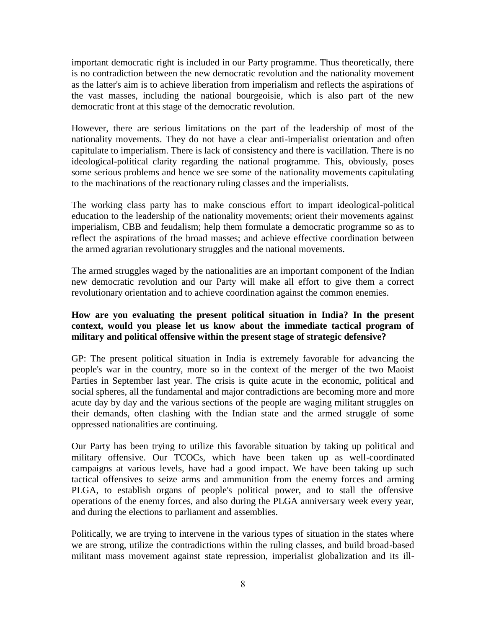important democratic right is included in our Party programme. Thus theoretically, there is no contradiction between the new democratic revolution and the nationality movement as the latter's aim is to achieve liberation from imperialism and reflects the aspirations of the vast masses, including the national bourgeoisie, which is also part of the new democratic front at this stage of the democratic revolution.

However, there are serious limitations on the part of the leadership of most of the nationality movements. They do not have a clear anti-imperialist orientation and often capitulate to imperialism. There is lack of consistency and there is vacillation. There is no ideological-political clarity regarding the national programme. This, obviously, poses some serious problems and hence we see some of the nationality movements capitulating to the machinations of the reactionary ruling classes and the imperialists.

The working class party has to make conscious effort to impart ideological-political education to the leadership of the nationality movements; orient their movements against imperialism, CBB and feudalism; help them formulate a democratic programme so as to reflect the aspirations of the broad masses; and achieve effective coordination between the armed agrarian revolutionary struggles and the national movements.

The armed struggles waged by the nationalities are an important component of the Indian new democratic revolution and our Party will make all effort to give them a correct revolutionary orientation and to achieve coordination against the common enemies.

#### **How are you evaluating the present political situation in India? In the present context, would you please let us know about the immediate tactical program of military and political offensive within the present stage of strategic defensive?**

GP: The present political situation in India is extremely favorable for advancing the people's war in the country, more so in the context of the merger of the two Maoist Parties in September last year. The crisis is quite acute in the economic, political and social spheres, all the fundamental and major contradictions are becoming more and more acute day by day and the various sections of the people are waging militant struggles on their demands, often clashing with the Indian state and the armed struggle of some oppressed nationalities are continuing.

Our Party has been trying to utilize this favorable situation by taking up political and military offensive. Our TCOCs, which have been taken up as well-coordinated campaigns at various levels, have had a good impact. We have been taking up such tactical offensives to seize arms and ammunition from the enemy forces and arming PLGA, to establish organs of people's political power, and to stall the offensive operations of the enemy forces, and also during the PLGA anniversary week every year, and during the elections to parliament and assemblies.

Politically, we are trying to intervene in the various types of situation in the states where we are strong, utilize the contradictions within the ruling classes, and build broad-based militant mass movement against state repression, imperialist globalization and its ill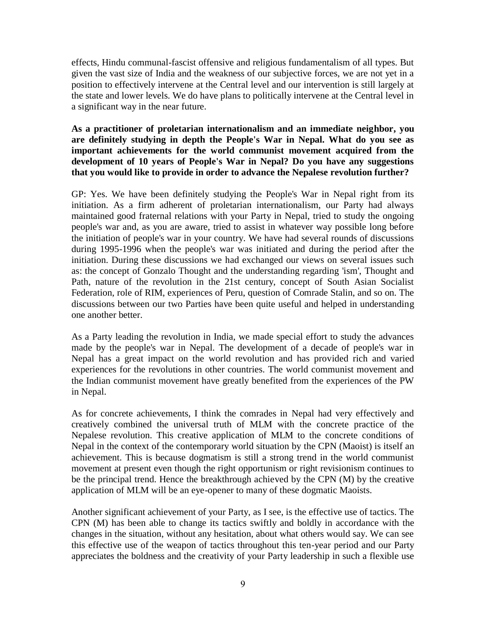effects, Hindu communal-fascist offensive and religious fundamentalism of all types. But given the vast size of India and the weakness of our subjective forces, we are not yet in a position to effectively intervene at the Central level and our intervention is still largely at the state and lower levels. We do have plans to politically intervene at the Central level in a significant way in the near future.

#### **As a practitioner of proletarian internationalism and an immediate neighbor, you are definitely studying in depth the People's War in Nepal. What do you see as important achievements for the world communist movement acquired from the development of 10 years of People's War in Nepal? Do you have any suggestions that you would like to provide in order to advance the Nepalese revolution further?**

GP: Yes. We have been definitely studying the People's War in Nepal right from its initiation. As a firm adherent of proletarian internationalism, our Party had always maintained good fraternal relations with your Party in Nepal, tried to study the ongoing people's war and, as you are aware, tried to assist in whatever way possible long before the initiation of people's war in your country. We have had several rounds of discussions during 1995-1996 when the people's war was initiated and during the period after the initiation. During these discussions we had exchanged our views on several issues such as: the concept of Gonzalo Thought and the understanding regarding 'ism', Thought and Path, nature of the revolution in the 21st century, concept of South Asian Socialist Federation, role of RIM, experiences of Peru, question of Comrade Stalin, and so on. The discussions between our two Parties have been quite useful and helped in understanding one another better.

As a Party leading the revolution in India, we made special effort to study the advances made by the people's war in Nepal. The development of a decade of people's war in Nepal has a great impact on the world revolution and has provided rich and varied experiences for the revolutions in other countries. The world communist movement and the Indian communist movement have greatly benefited from the experiences of the PW in Nepal.

As for concrete achievements, I think the comrades in Nepal had very effectively and creatively combined the universal truth of MLM with the concrete practice of the Nepalese revolution. This creative application of MLM to the concrete conditions of Nepal in the context of the contemporary world situation by the CPN (Maoist) is itself an achievement. This is because dogmatism is still a strong trend in the world communist movement at present even though the right opportunism or right revisionism continues to be the principal trend. Hence the breakthrough achieved by the CPN (M) by the creative application of MLM will be an eye-opener to many of these dogmatic Maoists.

Another significant achievement of your Party, as I see, is the effective use of tactics. The CPN (M) has been able to change its tactics swiftly and boldly in accordance with the changes in the situation, without any hesitation, about what others would say. We can see this effective use of the weapon of tactics throughout this ten-year period and our Party appreciates the boldness and the creativity of your Party leadership in such a flexible use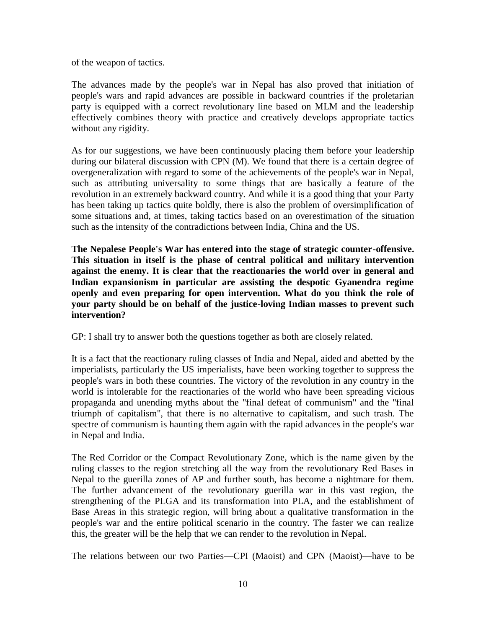of the weapon of tactics.

The advances made by the people's war in Nepal has also proved that initiation of people's wars and rapid advances are possible in backward countries if the proletarian party is equipped with a correct revolutionary line based on MLM and the leadership effectively combines theory with practice and creatively develops appropriate tactics without any rigidity.

As for our suggestions, we have been continuously placing them before your leadership during our bilateral discussion with CPN (M). We found that there is a certain degree of overgeneralization with regard to some of the achievements of the people's war in Nepal, such as attributing universality to some things that are basically a feature of the revolution in an extremely backward country. And while it is a good thing that your Party has been taking up tactics quite boldly, there is also the problem of oversimplification of some situations and, at times, taking tactics based on an overestimation of the situation such as the intensity of the contradictions between India, China and the US.

**The Nepalese People's War has entered into the stage of strategic counter-offensive. This situation in itself is the phase of central political and military intervention against the enemy. It is clear that the reactionaries the world over in general and Indian expansionism in particular are assisting the despotic Gyanendra regime openly and even preparing for open intervention. What do you think the role of your party should be on behalf of the justice-loving Indian masses to prevent such intervention?** 

GP: I shall try to answer both the questions together as both are closely related.

It is a fact that the reactionary ruling classes of India and Nepal, aided and abetted by the imperialists, particularly the US imperialists, have been working together to suppress the people's wars in both these countries. The victory of the revolution in any country in the world is intolerable for the reactionaries of the world who have been spreading vicious propaganda and unending myths about the "final defeat of communism" and the "final triumph of capitalism", that there is no alternative to capitalism, and such trash. The spectre of communism is haunting them again with the rapid advances in the people's war in Nepal and India.

The Red Corridor or the Compact Revolutionary Zone, which is the name given by the ruling classes to the region stretching all the way from the revolutionary Red Bases in Nepal to the guerilla zones of AP and further south, has become a nightmare for them. The further advancement of the revolutionary guerilla war in this vast region, the strengthening of the PLGA and its transformation into PLA, and the establishment of Base Areas in this strategic region, will bring about a qualitative transformation in the people's war and the entire political scenario in the country. The faster we can realize this, the greater will be the help that we can render to the revolution in Nepal.

The relations between our two Parties—CPI (Maoist) and CPN (Maoist)—have to be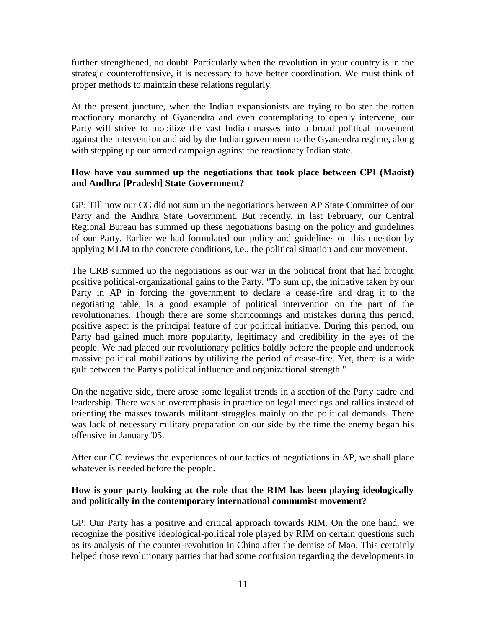further strengthened, no doubt. Particularly when the revolution in your country is in the strategic counteroffensive, it is necessary to have better coordination. We must think of proper methods to maintain these relations regularly.

At the present juncture, when the Indian expansionists are trying to bolster the rotten reactionary monarchy of Gyanendra and even contemplating to openly intervene, our Party will strive to mobilize the vast Indian masses into a broad political movement against the intervention and aid by the Indian government to the Gyanendra regime, along with stepping up our armed campaign against the reactionary Indian state.

#### **How have you summed up the negotiations that took place between CPI (Maoist) and Andhra [Pradesh] State Government?**

GP: Till now our CC did not sum up the negotiations between AP State Committee of our Party and the Andhra State Government. But recently, in last February, our Central Regional Bureau has summed up these negotiations basing on the policy and guidelines of our Party. Earlier we had formulated our policy and guidelines on this question by applying MLM to the concrete conditions, i.e., the political situation and our movement.

The CRB summed up the negotiations as our war in the political front that had brought positive political-organizational gains to the Party. "To sum up, the initiative taken by our Party in AP in forcing the government to declare a cease-fire and drag it to the negotiating table, is a good example of political intervention on the part of the revolutionaries. Though there are some shortcomings and mistakes during this period, positive aspect is the principal feature of our political initiative. During this period, our Party had gained much more popularity, legitimacy and credibility in the eyes of the people. We had placed our revolutionary politics boldly before the people and undertook massive political mobilizations by utilizing the period of cease-fire. Yet, there is a wide gulf between the Party's political influence and organizational strength."

On the negative side, there arose some legalist trends in a section of the Party cadre and leadership. There was an overemphasis in practice on legal meetings and rallies instead of orienting the masses towards militant struggles mainly on the political demands. There was lack of necessary military preparation on our side by the time the enemy began his offensive in January '05.

After our CC reviews the experiences of our tactics of negotiations in AP, we shall place whatever is needed before the people.

#### **How is your party looking at the role that the RIM has been playing ideologically and politically in the contemporary international communist movement?**

GP: Our Party has a positive and critical approach towards RIM. On the one hand, we recognize the positive ideological-political role played by RIM on certain questions such as its analysis of the counter-revolution in China after the demise of Mao. This certainly helped those revolutionary parties that had some confusion regarding the developments in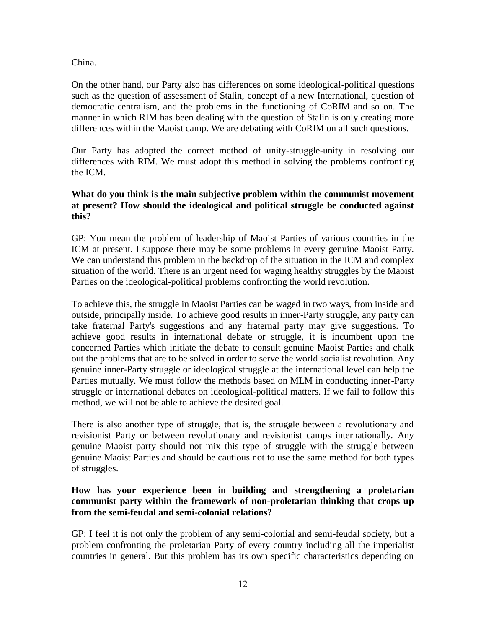#### China.

On the other hand, our Party also has differences on some ideological-political questions such as the question of assessment of Stalin, concept of a new International, question of democratic centralism, and the problems in the functioning of CoRIM and so on. The manner in which RIM has been dealing with the question of Stalin is only creating more differences within the Maoist camp. We are debating with CoRIM on all such questions.

Our Party has adopted the correct method of unity-struggle-unity in resolving our differences with RIM. We must adopt this method in solving the problems confronting the ICM.

#### **What do you think is the main subjective problem within the communist movement at present? How should the ideological and political struggle be conducted against this?**

GP: You mean the problem of leadership of Maoist Parties of various countries in the ICM at present. I suppose there may be some problems in every genuine Maoist Party. We can understand this problem in the backdrop of the situation in the ICM and complex situation of the world. There is an urgent need for waging healthy struggles by the Maoist Parties on the ideological-political problems confronting the world revolution.

To achieve this, the struggle in Maoist Parties can be waged in two ways, from inside and outside, principally inside. To achieve good results in inner-Party struggle, any party can take fraternal Party's suggestions and any fraternal party may give suggestions. To achieve good results in international debate or struggle, it is incumbent upon the concerned Parties which initiate the debate to consult genuine Maoist Parties and chalk out the problems that are to be solved in order to serve the world socialist revolution. Any genuine inner-Party struggle or ideological struggle at the international level can help the Parties mutually. We must follow the methods based on MLM in conducting inner-Party struggle or international debates on ideological-political matters. If we fail to follow this method, we will not be able to achieve the desired goal.

There is also another type of struggle, that is, the struggle between a revolutionary and revisionist Party or between revolutionary and revisionist camps internationally. Any genuine Maoist party should not mix this type of struggle with the struggle between genuine Maoist Parties and should be cautious not to use the same method for both types of struggles.

#### **How has your experience been in building and strengthening a proletarian communist party within the framework of non-proletarian thinking that crops up from the semi-feudal and semi-colonial relations?**

GP: I feel it is not only the problem of any semi-colonial and semi-feudal society, but a problem confronting the proletarian Party of every country including all the imperialist countries in general. But this problem has its own specific characteristics depending on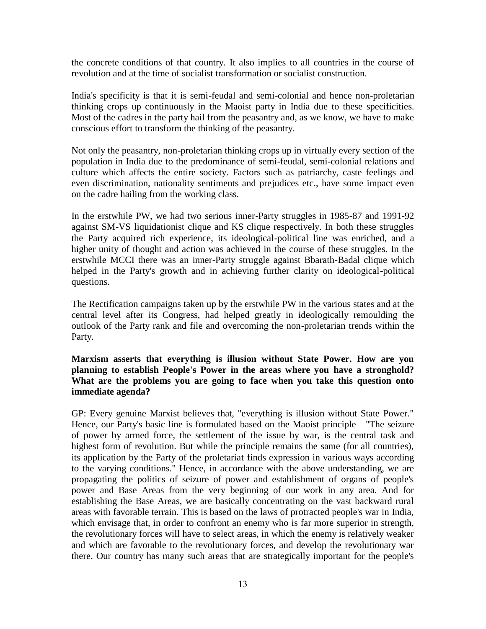the concrete conditions of that country. It also implies to all countries in the course of revolution and at the time of socialist transformation or socialist construction.

India's specificity is that it is semi-feudal and semi-colonial and hence non-proletarian thinking crops up continuously in the Maoist party in India due to these specificities. Most of the cadres in the party hail from the peasantry and, as we know, we have to make conscious effort to transform the thinking of the peasantry.

Not only the peasantry, non-proletarian thinking crops up in virtually every section of the population in India due to the predominance of semi-feudal, semi-colonial relations and culture which affects the entire society. Factors such as patriarchy, caste feelings and even discrimination, nationality sentiments and prejudices etc., have some impact even on the cadre hailing from the working class.

In the erstwhile PW, we had two serious inner-Party struggles in 1985-87 and 1991-92 against SM-VS liquidationist clique and KS clique respectively. In both these struggles the Party acquired rich experience, its ideological-political line was enriched, and a higher unity of thought and action was achieved in the course of these struggles. In the erstwhile MCCI there was an inner-Party struggle against Bbarath-Badal clique which helped in the Party's growth and in achieving further clarity on ideological-political questions.

The Rectification campaigns taken up by the erstwhile PW in the various states and at the central level after its Congress, had helped greatly in ideologically remoulding the outlook of the Party rank and file and overcoming the non-proletarian trends within the Party.

**Marxism asserts that everything is illusion without State Power. How are you planning to establish People's Power in the areas where you have a stronghold? What are the problems you are going to face when you take this question onto immediate agenda?** 

GP: Every genuine Marxist believes that, "everything is illusion without State Power." Hence, our Party's basic line is formulated based on the Maoist principle—"The seizure of power by armed force, the settlement of the issue by war, is the central task and highest form of revolution. But while the principle remains the same (for all countries), its application by the Party of the proletariat finds expression in various ways according to the varying conditions." Hence, in accordance with the above understanding, we are propagating the politics of seizure of power and establishment of organs of people's power and Base Areas from the very beginning of our work in any area. And for establishing the Base Areas, we are basically concentrating on the vast backward rural areas with favorable terrain. This is based on the laws of protracted people's war in India, which envisage that, in order to confront an enemy who is far more superior in strength, the revolutionary forces will have to select areas, in which the enemy is relatively weaker and which are favorable to the revolutionary forces, and develop the revolutionary war there. Our country has many such areas that are strategically important for the people's